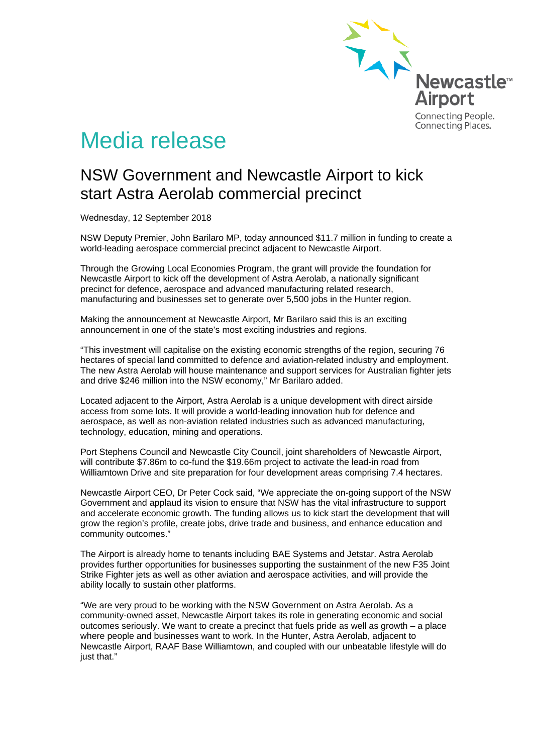

# Media release

## NSW Government and Newcastle Airport to kick start Astra Aerolab commercial precinct

Wednesday, 12 September 2018

NSW Deputy Premier, John Barilaro MP, today announced \$11.7 million in funding to create a world-leading aerospace commercial precinct adjacent to Newcastle Airport.

Through the Growing Local Economies Program, the grant will provide the foundation for Newcastle Airport to kick off the development of Astra Aerolab, a nationally significant precinct for defence, aerospace and advanced manufacturing related research, manufacturing and businesses set to generate over 5,500 jobs in the Hunter region.

Making the announcement at Newcastle Airport, Mr Barilaro said this is an exciting announcement in one of the state's most exciting industries and regions.

"This investment will capitalise on the existing economic strengths of the region, securing 76 hectares of special land committed to defence and aviation-related industry and employment. The new Astra Aerolab will house maintenance and support services for Australian fighter jets and drive \$246 million into the NSW economy," Mr Barilaro added.

Located adjacent to the Airport, Astra Aerolab is a unique development with direct airside access from some lots. It will provide a world-leading innovation hub for defence and aerospace, as well as non-aviation related industries such as advanced manufacturing, technology, education, mining and operations.

Port Stephens Council and Newcastle City Council, joint shareholders of Newcastle Airport, will contribute \$7.86m to co-fund the \$19.66m project to activate the lead-in road from Williamtown Drive and site preparation for four development areas comprising 7.4 hectares.

Newcastle Airport CEO, Dr Peter Cock said, "We appreciate the on-going support of the NSW Government and applaud its vision to ensure that NSW has the vital infrastructure to support and accelerate economic growth. The funding allows us to kick start the development that will grow the region's profile, create jobs, drive trade and business, and enhance education and community outcomes."

The Airport is already home to tenants including BAE Systems and Jetstar. Astra Aerolab provides further opportunities for businesses supporting the sustainment of the new F35 Joint Strike Fighter jets as well as other aviation and aerospace activities, and will provide the ability locally to sustain other platforms.

"We are very proud to be working with the NSW Government on Astra Aerolab. As a community-owned asset, Newcastle Airport takes its role in generating economic and social outcomes seriously. We want to create a precinct that fuels pride as well as growth – a place where people and businesses want to work. In the Hunter, Astra Aerolab, adjacent to Newcastle Airport, RAAF Base Williamtown, and coupled with our unbeatable lifestyle will do just that."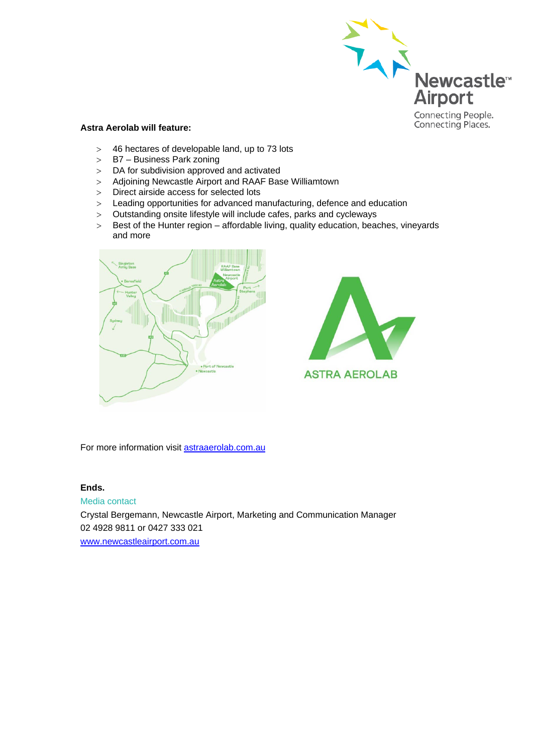

### **Astra Aerolab will feature:**

- > 46 hectares of developable land, up to 73 lots<br>> B7 Business Park zoning
- B7 Business Park zoning
- > DA for subdivision approved and activated
- > Adjoining Newcastle Airport and RAAF Base Williamtown
- > Direct airside access for selected lots
- > Leading opportunities for advanced manufacturing, defence and education
- > Outstanding onsite lifestyle will include cafes, parks and cycleways
- > Best of the Hunter region affordable living, quality education, beaches, vineyards and more





For more information visit [astraaerolab.com.au](http://www.astraaerolab.com.au/)

#### **Ends.**

Media contact Crystal Bergemann, Newcastle Airport, Marketing and Communication Manager 02 4928 9811 or 0427 333 021 [www.newcastleairport.com.au](http://www.newcastleairport.com.au/)